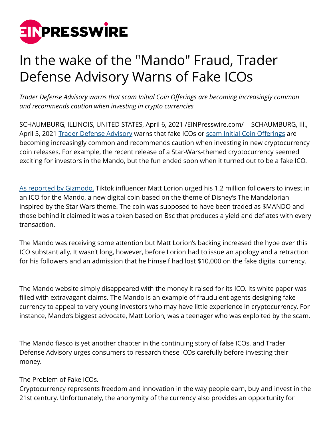

## In the wake of the "Mando" Fraud, Trader Defense Advisory Warns of Fake ICOs

*Trader Defense Advisory warns that scam Initial Coin Offerings are becoming increasingly common and recommends caution when investing in crypto currencies*

SCHAUMBURG, ILLINOIS, UNITED STATES, April 6, 2021 [/EINPresswire.com/](http://www.einpresswire.com) -- SCHAUMBURG, Ill., April 5, 2021 [Trader Defense Advisory](https://traderdefenseadvisory.com) warns that fake ICOs or [scam Initial Coin Offerings](https://traderdefenseadvisory.com/online-scams/crypto-scam/) are becoming increasingly common and recommends caution when investing in new cryptocurrency coin releases. For example, the recent release of a Star-Wars-themed cryptocurrency seemed exciting for investors in the Mando, but the fun ended soon when it turned out to be a fake ICO.

[As reported by Gizmodo,](https://screenrant.com/tiktok-mandalorian-cryptocurrency-scam-explained/) Tiktok influencer Matt Lorion urged his 1.2 million followers to invest in an ICO for the Mando, a new digital coin based on the theme of Disney's The Mandalorian inspired by the Star Wars theme. The coin was supposed to have been traded as \$MANDO and those behind it claimed it was a token based on Bsc that produces a yield and deflates with every transaction.

The Mando was receiving some attention but Matt Lorion's backing increased the hype over this ICO substantially. It wasn't long, however, before Lorion had to issue an apology and a retraction for his followers and an admission that he himself had lost \$10,000 on the fake digital currency.

The Mando website simply disappeared with the money it raised for its ICO. Its white paper was filled with extravagant claims. The Mando is an example of fraudulent agents designing fake currency to appeal to very young investors who may have little experience in cryptocurrency. For instance, Mando's biggest advocate, Matt Lorion, was a teenager who was exploited by the scam.

The Mando fiasco is yet another chapter in the continuing story of false ICOs, and Trader Defense Advisory urges consumers to research these ICOs carefully before investing their money.

The Problem of Fake ICOs.

Cryptocurrency represents freedom and innovation in the way people earn, buy and invest in the 21st century. Unfortunately, the anonymity of the currency also provides an opportunity for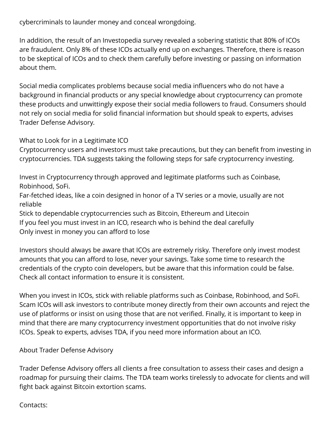cybercriminals to launder money and conceal wrongdoing.

In addition, the result of an Investopedia survey revealed a sobering statistic that 80% of ICOs are fraudulent. Only 8% of these ICOs actually end up on exchanges. Therefore, there is reason to be skeptical of ICOs and to check them carefully before investing or passing on information about them.

Social media complicates problems because social media influencers who do not have a background in financial products or any special knowledge about cryptocurrency can promote these products and unwittingly expose their social media followers to fraud. Consumers should not rely on social media for solid financial information but should speak to experts, advises Trader Defense Advisory.

What to Look for in a Legitimate ICO

Cryptocurrency users and investors must take precautions, but they can benefit from investing in cryptocurrencies. TDA suggests taking the following steps for safe cryptocurrency investing.

Invest in Cryptocurrency through approved and legitimate platforms such as Coinbase, Robinhood, SoFi.

Far-fetched ideas, like a coin designed in honor of a TV series or a movie, usually are not reliable

Stick to dependable cryptocurrencies such as Bitcoin, Ethereum and Litecoin If you feel you must invest in an ICO, research who is behind the deal carefully Only invest in money you can afford to lose

Investors should always be aware that ICOs are extremely risky. Therefore only invest modest amounts that you can afford to lose, never your savings. Take some time to research the credentials of the crypto coin developers, but be aware that this information could be false. Check all contact information to ensure it is consistent.

When you invest in ICOs, stick with reliable platforms such as Coinbase, Robinhood, and SoFi. Scam ICOs will ask investors to contribute money directly from their own accounts and reject the use of platforms or insist on using those that are not verified. Finally, it is important to keep in mind that there are many cryptocurrency investment opportunities that do not involve risky ICOs. Speak to experts, advises TDA, if you need more information about an ICO.

About Trader Defense Advisory

Trader Defense Advisory offers all clients a free consultation to assess their cases and design a roadmap for pursuing their claims. The TDA team works tirelessly to advocate for clients and will fight back against Bitcoin extortion scams.

Contacts: